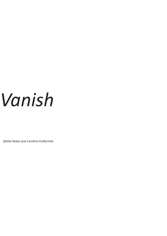## *Vanish*

Ştefan Botez and Carolina Guillermet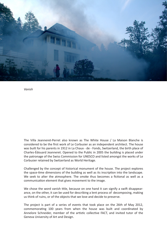

*Vanish*

The Villa Jeanneret-Perret also known as The White House / La Maison Blanche is considered to be the first work of Le Corbusier as an independent architect. The house was built for his parents in 1912 in La Chaux - de - Fonds, Switzerland, the birth place of Charles-Édouard Jeanneret. Opened to the Public in 2005 the building is placed under the patronage of the Swiss Commission for UNESCO and listed amongst the works of Le Corbusier retained by Switzerland as World Heritage.

Challenged by the concept of historical monument of the house. The project explores the space-time dimensions of the building as well as its inscription into the landscape. We seek to alter the atmosphere. The smoke thus becomes a fictional as well as a communication element that gives movement to the image.

We chose the word vanish title, because on one hand it can signify a swift disappearance, on the other, it can be used for describing a lent process of decomposing, making us think of ruins, or of the objects that we love and decide to preserve.

The project is part of a series of events that took place on the 26th of May 2012, commemorating 100 years from when the house was built and coordinated by Annelore Schneider, member of the artistic collective FACT, and invited tutor of the Geneva University of Art and Design.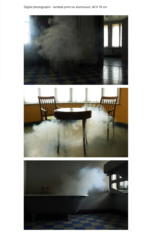## Digital photographs - lambda print on aluminium, 40 X 70 cm